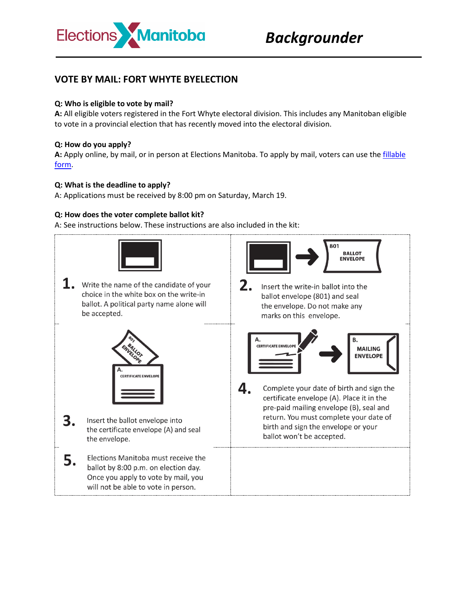

# **VOTE BY MAIL: FORT WHYTE BYELECTION**

## **Q: Who is eligible to vote by mail?**

**A:** All eligible voters registered in the Fort Whyte electoral division. This includes any Manitoban eligible to vote in a provincial election that has recently moved into the electoral division.

#### **Q: How do you apply?**

**A:** Apply online, by mail, or in person at Elections Manitoba. To apply by mail, voters can use the [fillable](https://electionsmanitoba.ca/downloads/062_vote_by_mail_EN.pdf)  [form.](https://electionsmanitoba.ca/downloads/062_vote_by_mail_EN.pdf)

#### **Q: What is the deadline to apply?**

A: Applications must be received by 8:00 pm on Saturday, March 19.

#### **Q: How does the voter complete ballot kit?**

A: See instructions below. These instructions are also included in the kit: